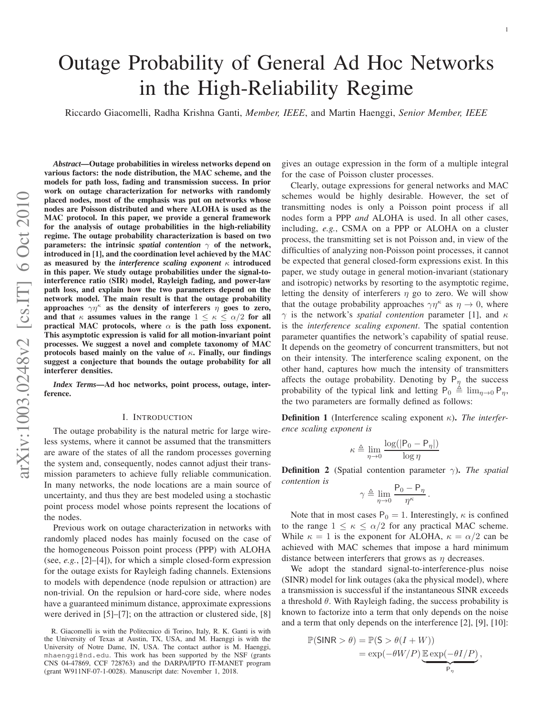1

# Outage Probability of General Ad Hoc Networks in the High-Reliability Regime

Riccardo Giacomelli, Radha Krishna Ganti, *Member, IEEE*, and Martin Haenggi, *Senior Member, IEEE*

*Abstract***—Outage probabilities in wireless networks depend on various factors: the node distribution, the MAC scheme, and the models for path loss, fading and transmission success. In prior work on outage characterization for networks with randomly placed nodes, most of the emphasis was put on networks whose nodes are Poisson distributed and where ALOHA is used as the MAC protocol. In this paper, we provide a general framework for the analysis of outage probabilities in the high-reliability regime. The outage probability characterization is based on two parameters: the intrinsic** *spatial contention* γ **of the network, introduced in [1], and the coordination level achieved by the MAC as measured by the** *interference scaling exponent* κ **introduced in this paper. We study outage probabilities under the signal-tointerference ratio (SIR) model, Rayleigh fading, and power-law path loss, and explain how the two parameters depend on the network model. The main result is that the outage probabilit y approaches**  $\gamma\eta^{\kappa}$  as the density of interferers  $\eta$  goes to zero, and that  $\kappa$  assumes values in the range  $1 \leq \kappa \leq \alpha/2$  for all **practical MAC protocols, where**  $\alpha$  is the path loss exponent. **This asymptotic expression is valid for all motion-invariant point processes. We suggest a novel and complete taxonomy of MAC protocols based mainly on the value of** κ**. Finally, our findings suggest a conjecture that bounds the outage probability for all interferer densities.**

*Index Terms***—Ad hoc networks, point process, outage, interference.**

## I. INTRODUCTION

The outage probability is the natural metric for large wireless systems, where it cannot be assumed that the transmitters are aware of the states of all the random processes governing the system and, consequently, nodes cannot adjust their transmission parameters to achieve fully reliable communication. In many networks, the node locations are a main source of uncertainty, and thus they are best modeled using a stochastic point process model whose points represent the locations of the nodes.

Previous work on outage characterization in networks with randomly placed nodes has mainly focused on the case of the homogeneous Poisson point process (PPP) with ALOHA (see, *e.g.*, [2]–[4]), for which a simple closed-form expression for the outage exists for Rayleigh fading channels. Extensions to models with dependence (node repulsion or attraction) ar e non-trivial. On the repulsion or hard-core side, where node s have a guaranteed minimum distance, approximate expressions were derived in [5]–[7]; on the attraction or clustered side, [8]

gives an outage expression in the form of a multiple integral for the case of Poisson cluster processes.

Clearly, outage expressions for general networks and MAC schemes would be highly desirable. However, the set of transmitting nodes is only a Poisson point process if all nodes form a PPP *and* ALOHA is used. In all other cases, including, *e.g.*, CSMA on a PPP or ALOHA on a cluster process, the transmitting set is not Poisson and, in view of the difficulties of analyzing non-Poisson point processes, it cannot be expected that general closed-form expressions exist. In this paper, we study outage in general motion-invariant (stationary and isotropic) networks by resorting to the asymptotic regime, letting the density of interferers  $\eta$  go to zero. We will show that the outage probability approaches  $\gamma\eta^{\kappa}$  as  $\eta \to 0$ , where  $\gamma$  is the network's *spatial contention* parameter [1], and  $\kappa$ is the *interference scaling exponent*. The spatial contention parameter quantifies the network's capability of spatial reuse. It depends on the geometry of concurrent transmitters, but not on their intensity. The interference scaling exponent, on the other hand, captures how much the intensity of transmitters affects the outage probability. Denoting by  $P_{\eta}$  the success probability of the typical link and letting  $P_0 \triangleq \lim_{\eta \to 0} P_{\eta}$ , the two parameters are formally defined as follows:

**Definition 1** (Interference scaling exponent  $\kappa$ ). The interfer*ence scaling exponent is*

$$
\kappa \triangleq \lim_{\eta \to 0} \frac{\log(|P_0 - P_\eta|)}{\log \eta}
$$

**Definition 2** (Spatial contention parameter  $\gamma$ ). The spatial *contention is*

$$
\gamma \triangleq \lim_{\eta \to 0} \frac{\mathsf{P}_0 - \mathsf{P}_\eta}{\eta^\kappa} \, .
$$

Note that in most cases  $P_0 = 1$ . Interestingly,  $\kappa$  is confined to the range  $1 \leq \kappa \leq \alpha/2$  for any practical MAC scheme. While  $\kappa = 1$  is the exponent for ALOHA,  $\kappa = \alpha/2$  can be achieved with MAC schemes that impose a hard minimum distance between interferers that grows as  $\eta$  decreases.

We adopt the standard signal-to-interference-plus noise (SINR) model for link outages (aka the physical model), wher e a transmission is successful if the instantaneous SINR exceeds a threshold  $\theta$ . With Rayleigh fading, the success probability is known to factorize into a term that only depends on the noise and a term that only depends on the interference [2], [9], [10]:

$$
\mathbb{P}(\text{SINR} > \theta) = \mathbb{P}(\mathsf{S} > \theta(I+W))
$$

$$
= \exp(-\theta W/P) \underbrace{\mathbb{E} \exp(-\theta I/P)}_{P_{\eta}}
$$

,

R. Giacomelli is with the Politecnico di Torino, Italy, R. K. Ganti is with the University of Texas at Austin, TX, USA, and M. Haenggi is with the University of Notre Dame, IN, USA. The contact author is M. Haenggi, mhaenggi@nd.edu. This work has been supported by the NSF (grants CNS 04-47869, CCF 728763) and the DARPA/IPTO IT-MANET program (grant W911NF-07-1-0028). Manuscript date: November 1, 2018.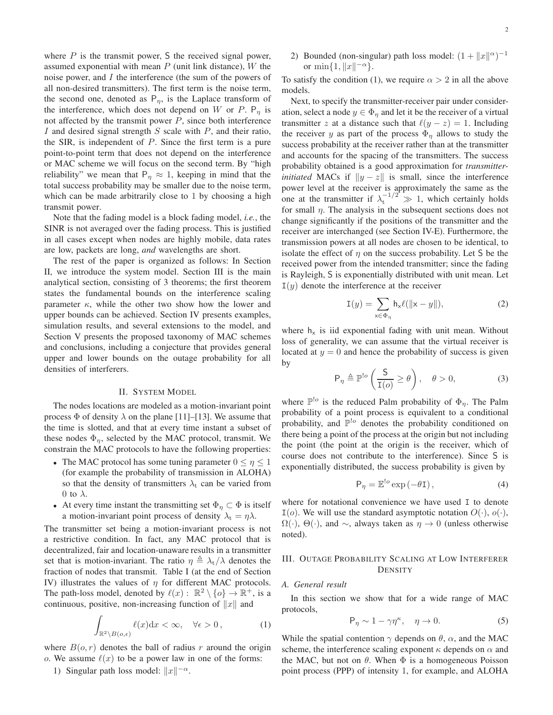where  $P$  is the transmit power,  $S$  the received signal power, assumed exponential with mean  $P$  (unit link distance),  $W$  the noise power, and I the interference (the sum of the powers of all non-desired transmitters). The first term is the noise term, the second one, denoted as  $P_n$ , is the Laplace transform of the interference, which does not depend on W or P.  $P_n$  is not affected by the transmit power  $P$ , since both interference I and desired signal strength  $S$  scale with  $P$ , and their ratio, the SIR, is independent of  $P$ . Since the first term is a pure point-to-point term that does not depend on the interference or MAC scheme we will focus on the second term. By "high reliability" we mean that  $P_n \approx 1$ , keeping in mind that the total success probability may be smaller due to the noise term, which can be made arbitrarily close to 1 by choosing a high transmit power.

Note that the fading model is a block fading model, *i.e.*, the SINR is not averaged over the fading process. This is justified in all cases except when nodes are highly mobile, data rates are low, packets are long, *and* wavelengths are short.

The rest of the paper is organized as follows: In Section II, we introduce the system model. Section III is the main analytical section, consisting of 3 theorems; the first theorem states the fundamental bounds on the interference scaling parameter  $\kappa$ , while the other two show how the lower and upper bounds can be achieved. Section IV presents examples, simulation results, and several extensions to the model, and Section V presents the proposed taxonomy of MAC schemes and conclusions, including a conjecture that provides general upper and lower bounds on the outage probability for all densities of interferers.

## II. SYSTEM MODEL

The nodes locations are modeled as a motion-invariant point process  $\Phi$  of density  $\lambda$  on the plane [11]–[13]. We assume that the time is slotted, and that at every time instant a subset of these nodes  $\Phi_{\eta}$ , selected by the MAC protocol, transmit. We constrain the MAC protocols to have the following properties:

- The MAC protocol has some tuning parameter  $0 \le \eta \le 1$ (for example the probability of transmission in ALOHA) so that the density of transmitters  $\lambda_t$  can be varied from 0 to  $\lambda$ .
- At every time instant the transmitting set  $\Phi_{\eta} \subset \Phi$  is itself a motion-invariant point process of density  $\lambda_t = \eta \lambda$ .

The transmitter set being a motion-invariant process is not a restrictive condition. In fact, any MAC protocol that is decentralized, fair and location-unaware results in a transmitter set that is motion-invariant. The ratio  $\eta \triangleq \lambda_t/\lambda$  denotes the fraction of nodes that transmit. Table I (at the end of Section IV) illustrates the values of  $\eta$  for different MAC protocols. The path-loss model, denoted by  $\ell(x) : \mathbb{R}^2 \setminus \{o\} \to \mathbb{R}^+$ , is a continuous, positive, non-increasing function of  $||x||$  and

$$
\int_{\mathbb{R}^2 \setminus B(o,\epsilon)} \ell(x) dx < \infty, \quad \forall \epsilon > 0,\tag{1}
$$

where  $B(o, r)$  denotes the ball of radius r around the origin o. We assume  $\ell(x)$  to be a power law in one of the forms:

1) Singular path loss model:  $||x||^{-\alpha}$ .

2) Bounded (non-singular) path loss model:  $(1 + ||x||^{\alpha})^{-1}$ or  $\min\{1, \|x\|^{-\alpha}\}.$ 

To satisfy the condition (1), we require  $\alpha > 2$  in all the above models.

Next, to specify the transmitter-receiver pair under consideration, select a node  $y \in \Phi_{\eta}$  and let it be the receiver of a virtual transmitter z at a distance such that  $\ell(y - z) = 1$ . Including the receiver y as part of the process  $\Phi_{\eta}$  allows to study the success probability at the receiver rather than at the transmitter and accounts for the spacing of the transmitters. The success probability obtained is a good approximation for *transmitterinitiated* MACs if  $||y - z||$  is small, since the interference power level at the receiver is approximately the same as the one at the transmitter if  $\lambda_t^{-1/2} \gg 1$ , which certainly holds for small  $\eta$ . The analysis in the subsequent sections does not change significantly if the positions of the transmitter and the receiver are interchanged (see Section IV-E). Furthermore, the transmission powers at all nodes are chosen to be identical, to isolate the effect of  $\eta$  on the success probability. Let S be the received power from the intended transmitter; since the fading is Rayleigh, S is exponentially distributed with unit mean. Let  $I(y)$  denote the interference at the receiver

$$
\mathbf{I}(y) = \sum_{\mathbf{x} \in \Phi_{\eta}} \mathbf{h}_{\mathbf{x}} \ell(\|\mathbf{x} - y\|),\tag{2}
$$

where  $h_x$  is iid exponential fading with unit mean. Without loss of generality, we can assume that the virtual receiver is located at  $y = 0$  and hence the probability of success is given by

$$
\mathsf{P}_{\eta} \triangleq \mathbb{P}^{\mathsf{!o}}\left(\frac{\mathsf{S}}{\mathsf{I}(o)} \ge \theta\right), \quad \theta > 0,\tag{3}
$$

where  $\mathbb{P}^{\cdot}$  is the reduced Palm probability of  $\Phi_{\eta}$ . The Palm probability of a point process is equivalent to a conditional probability, and  $\mathbb{P}^{l_o}$  denotes the probability conditioned on there being a point of the process at the origin but not including the point (the point at the origin is the receiver, which of course does not contribute to the interference). Since S is exponentially distributed, the success probability is given by

$$
P_{\eta} = \mathbb{E}^{!o} \exp(-\theta \mathbf{I}), \qquad (4)
$$

where for notational convenience we have used I to denote  $I(o)$ . We will use the standard asymptotic notation  $O(·), o(·),$  $\Omega(\cdot)$ ,  $\Theta(\cdot)$ , and  $\sim$ , always taken as  $\eta \to 0$  (unless otherwise noted).

## III. OUTAGE PROBABILITY SCALING AT LOW INTERFERER **DENSITY**

## *A. General result*

In this section we show that for a wide range of MAC protocols,

$$
\mathsf{P}_{\eta} \sim 1 - \gamma \eta^{\kappa}, \quad \eta \to 0. \tag{5}
$$

While the spatial contention  $\gamma$  depends on  $\theta$ ,  $\alpha$ , and the MAC scheme, the interference scaling exponent  $\kappa$  depends on  $\alpha$  and the MAC, but not on  $\theta$ . When  $\Phi$  is a homogeneous Poisson point process (PPP) of intensity 1, for example, and ALOHA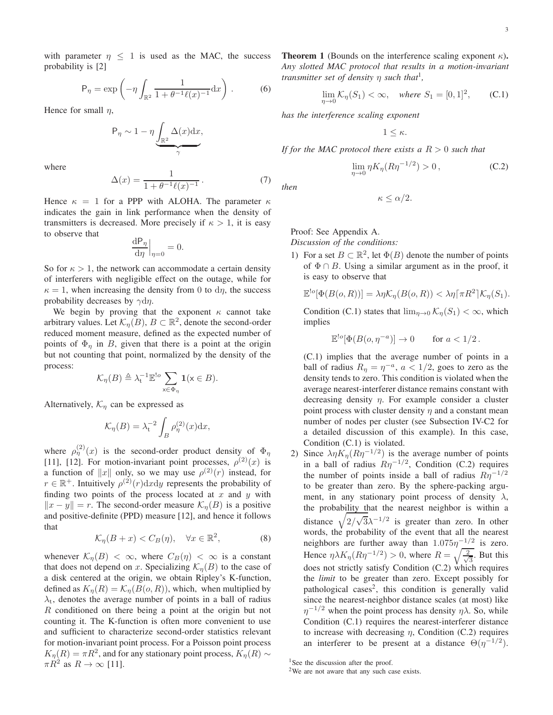with parameter  $\eta \leq 1$  is used as the MAC, the success probability is [2]

$$
\mathsf{P}_{\eta} = \exp\left(-\eta \int_{\mathbb{R}^2} \frac{1}{1 + \theta^{-1} \ell(x)^{-1}} \mathrm{d}x\right). \tag{6}
$$

Hence for small  $n$ ,

$$
P_{\eta} \sim 1 - \eta \underbrace{\int_{\mathbb{R}^2} \Delta(x) dx}_{\gamma},
$$

where

$$
\Delta(x) = \frac{1}{1 + \theta^{-1} \ell(x)^{-1}}.
$$
 (7)

Hence  $\kappa = 1$  for a PPP with ALOHA. The parameter  $\kappa$ indicates the gain in link performance when the density of transmitters is decreased. More precisely if  $\kappa > 1$ , it is easy to observe that

$$
\frac{\mathrm{dP}_{\eta}}{\mathrm{d}\eta}\Big|_{\eta=0} = 0.
$$

So for  $\kappa > 1$ , the network can accommodate a certain density of interferers with negligible effect on the outage, while for  $\kappa = 1$ , when increasing the density from 0 to d $\eta$ , the success probability decreases by  $\gamma d\eta$ .

We begin by proving that the exponent  $\kappa$  cannot take arbitrary values. Let  $\mathcal{K}_{\eta}(B), B \subset \mathbb{R}^2$ , denote the second-order reduced moment measure, defined as the expected number of points of  $\Phi_n$  in B, given that there is a point at the origin but not counting that point, normalized by the density of the process:

$$
\mathcal{K}_{\eta}(B) \triangleq \lambda_{\mathbf{t}}^{-1} \mathbb{E}^{\mathsf{!o}} \sum_{\mathbf{x} \in \Phi_{\eta}} \mathbf{1}(\mathbf{x} \in B).
$$

Alternatively,  $\mathcal{K}_\eta$  can be expressed as

$$
\mathcal{K}_{\eta}(B) = \lambda_{\mathrm{t}}^{-2} \int_{B} \rho_{\eta}^{(2)}(x) \mathrm{d}x,
$$

where  $\rho_{\eta}^{(2)}(x)$  is the second-order product density of  $\Phi_{\eta}$ [11], [12]. For motion-invariant point processes,  $\rho^{(2)}(x)$  is a function of ||x|| only, so we may use  $\rho^{(2)}(r)$  instead, for  $r \in \mathbb{R}^+$ . Intuitively  $\rho^{(2)}(r) dxdy$  represents the probability of finding two points of the process located at  $x$  and  $y$  with  $||x - y|| = r$ . The second-order measure  $\mathcal{K}_n(B)$  is a positive and positive-definite (PPD) measure [12], and hence it follows that

$$
\mathcal{K}_{\eta}(B+x) < C_B(\eta), \quad \forall x \in \mathbb{R}^2,\tag{8}
$$

whenever  $\mathcal{K}_n(B) < \infty$ , where  $C_B(\eta) < \infty$  is a constant that does not depend on x. Specializing  $\mathcal{K}_n(B)$  to the case of a disk centered at the origin, we obtain Ripley's K-function, defined as  $K_{\eta}(R) = \mathcal{K}_{\eta}(B(o, R))$ , which, when multiplied by  $\lambda_t$ , denotes the average number of points in a ball of radius R conditioned on there being a point at the origin but not counting it. The K-function is often more convenient to use and sufficient to characterize second-order statistics relevant for motion-invariant point process. For a Poisson point process  $K_{\eta}(R) = \pi R^2$ , and for any stationary point process,  $K_{\eta}(R) \sim$  $\pi R^2$  as  $R \to \infty$  [11].

**Theorem 1** (Bounds on the interference scaling exponent  $\kappa$ ). *Any slotted MAC protocol that results in a motion-invariant transmitter set of density* η *such that*<sup>1</sup> *,*

$$
\lim_{\eta \to 0} \mathcal{K}_{\eta}(S_1) < \infty, \quad \text{where } S_1 = [0, 1]^2, \qquad \text{(C.1)}
$$

*has the interference scaling exponent*

 $1 \leq \kappa$ .

*If for the MAC protocol there exists a* R > 0 *such that*

$$
\lim_{\eta \to 0} \eta K_{\eta} (R \eta^{-1/2}) > 0, \qquad (C.2)
$$

*then*

$$
\kappa \leq \alpha/2.
$$

Proof: See Appendix A.

*Discussion of the conditions:*

1) For a set  $B \subset \mathbb{R}^2$ , let  $\Phi(B)$  denote the number of points of  $\Phi \cap B$ . Using a similar argument as in the proof, it is easy to observe that

$$
\mathbb{E}^{!o}[\Phi(B(o,R))] = \lambda \eta \mathcal{K}_{\eta}(B(o,R)) < \lambda \eta[\pi R^2] \mathcal{K}_{\eta}(S_1).
$$

Condition (C.1) states that  $\lim_{\eta \to 0} \mathcal{K}_{\eta}(S_1) < \infty$ , which implies

$$
\mathbb{E}^{!o}[\Phi(B(o, \eta^{-a})] \to 0 \quad \text{for } a < 1/2.
$$

(C.1) implies that the average number of points in a ball of radius  $R_{\eta} = \eta^{-a}$ ,  $a < 1/2$ , goes to zero as the density tends to zero. This condition is violated when the average nearest-interferer distance remains constant with decreasing density  $\eta$ . For example consider a cluster point process with cluster density  $\eta$  and a constant mean number of nodes per cluster (see Subsection IV-C2 for a detailed discussion of this example). In this case, Condition (C.1) is violated.

2) Since  $\lambda \eta K_{\eta} (R \eta^{-1/2})$  is the average number of points in a ball of radius  $R\eta^{-1/2}$ , Condition (C.2) requires the number of points inside a ball of radius  $R\eta^{-1/2}$ to be greater than zero. By the sphere-packing argument, in any stationary point process of density  $\lambda$ , the probability that the nearest neighbor is within a distance  $\sqrt{\frac{2}{\sqrt{3}}\lambda^{-1/2}}$  is greater than zero. In other words, the probability of the event that all the nearest neighbors are further away than  $1.075\eta^{-1/2}$  is zero. Hence  $\eta \lambda K_{\eta} (R \eta^{-1/2}) > 0$ , where  $R = \sqrt{\frac{2}{\sqrt{3}}}$  $\frac{1}{3}$ . But this does not strictly satisfy Condition (C.2) which requires the *limit* to be greater than zero. Except possibly for pathological cases<sup>2</sup>, this condition is generally valid since the nearest-neighbor distance scales (at most) like  $\eta^{-1/2}$  when the point process has density  $\eta \lambda$ . So, while Condition (C.1) requires the nearest-interferer distance to increase with decreasing  $\eta$ , Condition (C.2) requires an interferer to be present at a distance  $\Theta(\eta^{-1/2})$ .

<sup>1</sup>See the discussion after the proof.

<sup>&</sup>lt;sup>2</sup>We are not aware that any such case exists.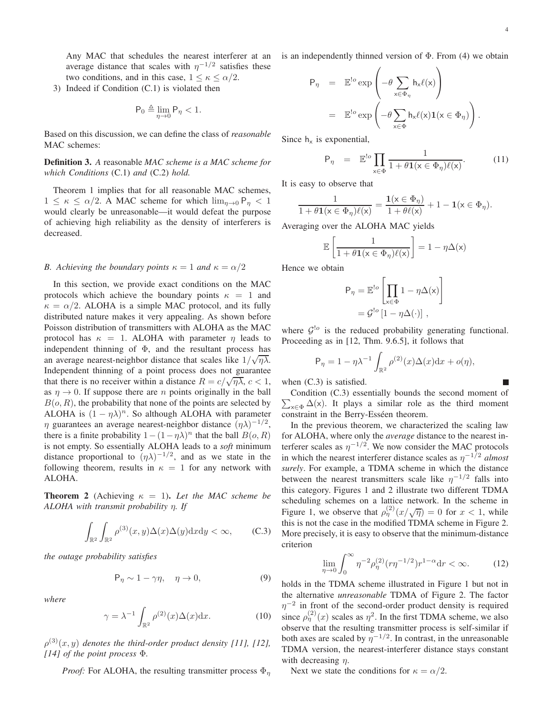Any MAC that schedules the nearest interferer at an average distance that scales with  $\eta^{-1/2}$  satisfies these two conditions, and in this case,  $1 \leq \kappa \leq \alpha/2$ .

3) Indeed if Condition (C.1) is violated then

$$
\mathsf{P}_0 \triangleq \lim_{\eta \to 0} \mathsf{P}_\eta < 1.
$$

Based on this discussion, we can define the class of *reasonable* MAC schemes:

**Definition 3.** *A* reasonable *MAC scheme is a MAC scheme for which Conditions* (C.1) *and* (C.2) *hold.*

Theorem 1 implies that for all reasonable MAC schemes,  $1 \leq \kappa \leq \alpha/2$ . A MAC scheme for which  $\lim_{n\to 0} P_n < 1$ would clearly be unreasonable—it would defeat the purpose of achieving high reliability as the density of interferers is decreased.

## *B.* Achieving the boundary points  $\kappa = 1$  and  $\kappa = \alpha/2$

In this section, we provide exact conditions on the MAC protocols which achieve the boundary points  $\kappa = 1$  and  $\kappa = \alpha/2$ . ALOHA is a simple MAC protocol, and its fully distributed nature makes it very appealing. As shown before Poisson distribution of transmitters with ALOHA as the MAC protocol has  $\kappa = 1$ . ALOHA with parameter  $\eta$  leads to independent thinning of  $\Phi$ , and the resultant process has an average nearest-neighbor distance that scales like  $1/\sqrt{\eta\lambda}$ . Independent thinning of a point process does not guarantee that there is no receiver within a distance  $R = c/\sqrt{n\lambda}$ ,  $c < 1$ , as  $\eta \rightarrow 0$ . If suppose there are *n* points originally in the ball  $B(o, R)$ , the probability that none of the points are selected by ALOHA is  $(1 - \eta \lambda)^n$ . So although ALOHA with parameter  $\eta$  guarantees an average nearest-neighbor distance  $(\eta \lambda)^{-1/2}$ , there is a finite probability  $1 - (1 - \eta \lambda)^n$  that the ball  $B(o, R)$ is not empty. So essentially ALOHA leads to a *soft* minimum distance proportional to  $(\eta \lambda)^{-1/2}$ , and as we state in the following theorem, results in  $\kappa = 1$  for any network with ALOHA.

**Theorem 2** (Achieving  $\kappa = 1$ ). Let the MAC scheme be *ALOHA with transmit probability* η*. If*

$$
\int_{\mathbb{R}^2} \int_{\mathbb{R}^2} \rho^{(3)}(x, y) \Delta(x) \Delta(y) \mathrm{d}x \mathrm{d}y < \infty,\qquad \text{(C.3)}
$$

*the outage probability satisfies*

$$
\mathsf{P}_{\eta} \sim 1 - \gamma \eta, \quad \eta \to 0,\tag{9}
$$

*where*

$$
\gamma = \lambda^{-1} \int_{\mathbb{R}^2} \rho^{(2)}(x) \Delta(x) \mathrm{d}x.
$$
 (10)

 $\rho^{(3)}(x,y)$  denotes the third-order product density [11], [12], *[14] of the point process* Φ*.*

*Proof:* For ALOHA, the resulting transmitter process  $\Phi_n$ 

is an independently thinned version of  $\Phi$ . From (4) we obtain

$$
P_{\eta} = \mathbb{E}^{!o} \exp \left(-\theta \sum_{x \in \Phi_{\eta}} h_{x} \ell(x)\right)
$$
  

$$
= \mathbb{E}^{!o} \exp \left(-\theta \sum_{x \in \Phi} h_{x} \ell(x) \mathbf{1}(x \in \Phi_{\eta})\right).
$$

Since  $h_x$  is exponential,

$$
\mathsf{P}_{\eta} = \mathbb{E}^{!o} \prod_{\mathsf{x} \in \Phi} \frac{1}{1 + \theta \mathbf{1}(\mathsf{x} \in \Phi_{\eta}) \ell(\mathsf{x})}.
$$
 (11)

It is easy to observe that

$$
\frac{1}{1+\theta\mathbf{1}(\mathsf{x}\in \Phi_\eta)\ell(\mathsf{x})}=\frac{\mathbf{1}(\mathsf{x}\in \Phi_\eta)}{1+\theta\ell(\mathsf{x})}+1-\mathbf{1}(\mathsf{x}\in \Phi_\eta).
$$

Averaging over the ALOHA MAC yields

$$
\mathbb{E}\left[\frac{1}{1+\theta\mathbf{1}(\mathsf{x}\in\Phi_{\eta})\ell(\mathsf{x})}\right] = 1 - \eta\Delta(\mathsf{x})
$$

Hence we obtain

$$
P_{\eta} = \mathbb{E}^{!o} \left[ \prod_{x \in \Phi} 1 - \eta \Delta(x) \right]
$$

$$
= \mathcal{G}^{!o} \left[ 1 - \eta \Delta(\cdot) \right],
$$

where  $\mathcal{G}^{\text{!o}}$  is the reduced probability generating functional. Proceeding as in [12, Thm. 9.6.5], it follows that

$$
\mathsf{P}_{\eta} = 1 - \eta \lambda^{-1} \int_{\mathbb{R}^2} \rho^{(2)}(x) \Delta(x) \mathrm{d}x + o(\eta),
$$

when  $(C.3)$  is satisfied.

 $\eta$ 

 $\sum_{x \in \Phi} \Delta(x)$ . It plays a similar role as the third moment Condition (C.3) essentially bounds the second moment of constraint in the Berry-Esséen theorem.

In the previous theorem, we characterized the scaling law for ALOHA, where only the *average* distance to the nearest interferer scales as  $\eta^{-1/2}$ . We now consider the MAC protocols in which the nearest interferer distance scales as  $\eta^{-1/2}$  *almost surely*. For example, a TDMA scheme in which the distance between the nearest transmitters scale like  $\eta^{-1/2}$  falls into this category. Figures 1 and 2 illustrate two different TDMA scheduling schemes on a lattice network. In the scheme in Figure 1, we observe that  $\rho_{\eta}^{(2)}(x/\sqrt{\eta}) = 0$  for  $x < 1$ , while this is not the case in the modified TDMA scheme in Figure 2. More precisely, it is easy to observe that the minimum-distance criterion

$$
\lim_{\eta \to 0} \int_0^\infty \eta^{-2} \rho_\eta^{(2)} (r \eta^{-1/2}) r^{1-\alpha} dr < \infty.
$$
 (12)

holds in the TDMA scheme illustrated in Figure 1 but not in the alternative *unreasonable* TDMA of Figure 2. The factor  $\eta^{-2}$  in front of the second-order product density is required since  $\rho_{\eta}^{(2)}(x)$  scales as  $\eta^2$ . In the first TDMA scheme, we also observe that the resulting transmitter process is self-similar if both axes are scaled by  $\eta^{-1/2}$ . In contrast, in the unreasonable TDMA version, the nearest-interferer distance stays constant with decreasing  $n$ .

Next we state the conditions for  $\kappa = \alpha/2$ .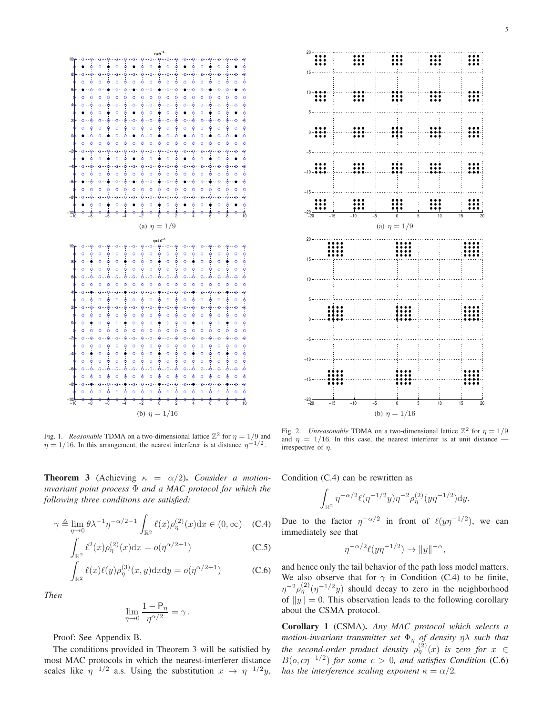

Fig. 1. *Reasonable* TDMA on a two-dimensional lattice  $\mathbb{Z}^2$  for  $\eta = 1/9$  and  $\eta = 1/16$ . In this arrangement, the nearest interferer is at distance  $\eta^{-1/2}$ .

**Theorem 3** (Achieving  $\kappa = \alpha/2$ ). *Consider a motioninvariant point process* Φ *and a MAC protocol for which the following three conditions are satisfied:*

$$
\gamma \triangleq \lim_{\eta \to 0} \theta \lambda^{-1} \eta^{-\alpha/2 - 1} \int_{\mathbb{R}^2} \ell(x) \rho_{\eta}^{(2)}(x) dx \in (0, \infty) \quad (C.4)
$$

$$
\int_{\mathbb{R}^2} \ell^2(x) \rho_{\eta}^{(2)}(x) dx = o(\eta^{\alpha/2+1})
$$
\n(C.5)

$$
\int_{\mathbb{R}^2} \ell(x)\ell(y)\rho_{\eta}^{(3)}(x,y)\mathrm{d}x\mathrm{d}y = o(\eta^{\alpha/2+1})
$$
\n(C.6)

*Then*

$$
\lim_{\eta\to 0}\frac{1-{\sf P}_{\eta}}{\eta^{\alpha/2}}=\gamma\,.
$$

Proof: See Appendix B.

The conditions provided in Theorem 3 will be satisfied by most MAC protocols in which the nearest-interferer distance scales like  $\eta^{-1/2}$  a.s. Using the substitution  $x \to \eta^{-1/2}y$ ,



Fig. 2. *Unreasonable* TDMA on a two-dimensional lattice  $\mathbb{Z}^2$  for  $\eta = 1/9$ and  $\eta = 1/16$ . In this case, the nearest interferer is at unit distance irrespective of  $\eta$ .

Condition (C.4) can be rewritten as

$$
\int_{\mathbb{R}^2} \eta^{-\alpha/2} \ell(\eta^{-1/2}y) \eta^{-2} \rho_{\eta}^{(2)}(y\eta^{-1/2}) dy.
$$

Due to the factor  $\eta^{-\alpha/2}$  in front of  $\ell(y\eta^{-1/2})$ , we can immediately see that

$$
\eta^{-\alpha/2}\ell(y\eta^{-1/2}) \to ||y||^{-\alpha}
$$

,

and hence only the tail behavior of the path loss model matters. We also observe that for  $\gamma$  in Condition (C.4) to be finite,  $\eta^{-2} \rho_{\eta}^{(2)}(\eta^{-1/2}y)$  should decay to zero in the neighborhood of  $||y|| = 0$ . This observation leads to the following corollary about the CSMA protocol.

**Corollary 1** (CSMA)**.** *Any MAC protocol which selects a motion-invariant transmitter set*  $\Phi_{\eta}$  *of density*  $\eta \lambda$  *such that the second-order product density*  $\rho_{\eta}^{(2)}(x)$  *is zero for*  $x \in$  $B(o, c\eta^{-1/2})$  for some  $c > 0$ , and satisfies Condition (C.6) *has the interference scaling exponent*  $\kappa = \alpha/2$ *.*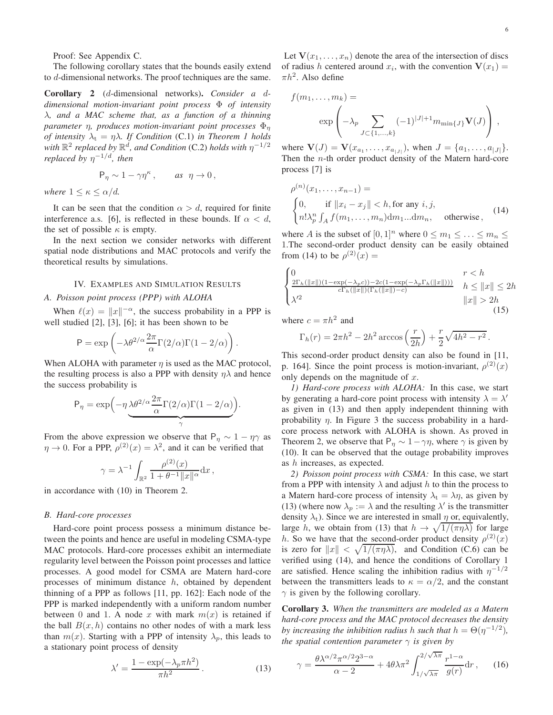Proof: See Appendix C.

The following corollary states that the bounds easily extend to d-dimensional networks. The proof techniques are the same.

**Corollary 2** (d-dimensional networks)**.** *Consider a* d*dimensional motion-invariant point process* Φ *of intensity* λ*, and a MAC scheme that, as a function of a thinning parameter* η*, produces motion-invariant point processes* Φ<sup>η</sup> *of intensity*  $\lambda_t = \eta \lambda$ *. If Condition* (C.1) *in Theorem 1 holds* with  $\mathbb{R}^2$  replaced by  $\mathbb{R}^d$ , and Condition (C.2) holds with  $\eta^{-1/2}$ *replaced by* η <sup>−</sup>1/d*, then*

$$
\mathsf{P}_\eta \sim 1 - \gamma \eta^\kappa \,, \qquad \text{as } \; \eta \to 0 \,,
$$

*where*  $1 \leq \kappa \leq \alpha/d$ *.* 

It can be seen that the condition  $\alpha > d$ , required for finite interference a.s. [6], is reflected in these bounds. If  $\alpha < d$ , the set of possible  $\kappa$  is empty.

In the next section we consider networks with different spatial node distributions and MAC protocols and verify the theoretical results by simulations.

## IV. EXAMPLES AND SIMULATION RESULTS

### *A. Poisson point process (PPP) with ALOHA*

When  $\ell(x) = ||x||^{-\alpha}$ , the success probability in a PPP is well studied [2], [3], [6]; it has been shown to be

$$
P = \exp\left(-\lambda \theta^{2/\alpha} \frac{2\pi}{\alpha} \Gamma(2/\alpha) \Gamma(1 - 2/\alpha)\right).
$$

When ALOHA with parameter  $\eta$  is used as the MAC protocol, the resulting process is also a PPP with density  $\eta\lambda$  and hence the success probability is

$$
P_{\eta} = \exp\left(-\eta \underbrace{\lambda \theta^{2/\alpha} \frac{2\pi}{\alpha} \Gamma(2/\alpha) \Gamma(1 - 2/\alpha)}_{\gamma}\right).
$$

From the above expression we observe that  $P_{\eta} \sim 1 - \eta \gamma$  as  $\eta \to 0$ . For a PPP,  $\rho^{(2)}(x) = \lambda^2$ , and it can be verified that

$$
\gamma = \lambda^{-1} \int_{\mathbb{R}^2} \frac{\rho^{(2)}(x)}{1 + \theta^{-1} \|x\|^{\alpha}} dx,
$$

in accordance with (10) in Theorem 2.

## *B. Hard-core processes*

Hard-core point process possess a minimum distance between the points and hence are useful in modeling CSMA-type MAC protocols. Hard-core processes exhibit an intermediate regularity level between the Poisson point processes and lattice processes. A good model for CSMA are Matern hard-core processes of minimum distance  $h$ , obtained by dependent thinning of a PPP as follows [11, pp. 162]: Each node of the PPP is marked independently with a uniform random number between 0 and 1. A node x with mark  $m(x)$  is retained if the ball  $B(x, h)$  contains no other nodes of with a mark less than  $m(x)$ . Starting with a PPP of intensity  $\lambda_p$ , this leads to a stationary point process of density

$$
\lambda' = \frac{1 - \exp(-\lambda_p \pi h^2)}{\pi h^2}.
$$
\n(13)

Let  $V(x_1, \ldots, x_n)$  denote the area of the intersection of discs of radius h centered around  $x_i$ , with the convention  $V(x_1)$  =  $\pi h^2$ . Also define

$$
f(m_1, ..., m_k) = \n \exp \left( -\lambda_p \sum_{J \subset \{1, ..., k\}} (-1)^{|J|+1} m_{\min\{J\}} \mathbf{V}(J) \right),
$$

where  $\mathbf{V}(J) = \mathbf{V}(x_{a_1}, \dots, x_{a_{|J|}})$ , when  $J = \{a_1, \dots, a_{|J|}\}.$ Then the n-th order product density of the Matern hard-core process [7] is

$$
\rho^{(n)}(x_1, \dots, x_{n-1}) =
$$
\n
$$
\begin{cases}\n0, & \text{if } ||x_i - x_j|| < h, \text{for any } i, j, \\
n! \lambda_p^n \int_A f(m_1, \dots, m_n) dm_1 \dots dm_n, & \text{otherwise}\n\end{cases}
$$
\n(14)

where A is the subset of  $[0, 1]^n$  where  $0 \le m_1 \le \ldots \le m_n \le$ 1.The second-order product density can be easily obtained from (14) to be  $\rho^{(2)}(x) =$ 

$$
\begin{cases}\n0 & r < h \\
\frac{2\Gamma_h(\|x\|)(1 - \exp(-\lambda_p c)) - 2c(1 - \exp(-\lambda_p \Gamma_h(\|x\|)))}{c\Gamma_h(\|x\|)(\Gamma_h(\|x\|) - c)} & h \le \|x\| \le 2h \\
\lambda'^2 & |\|x\| > 2h\n\end{cases}
$$
\n(15)

where  $c = \pi h^2$  and

$$
\Gamma_h(r) = 2\pi h^2 - 2h^2 \arccos\left(\frac{r}{2h}\right) + \frac{r}{2}\sqrt{4h^2 - r^2}.
$$

This second-order product density can also be found in [11, p. 164]. Since the point process is motion-invariant,  $\rho^{(2)}(x)$ only depends on the magnitude of  $x$ .

*1) Hard-core process with ALOHA:* In this case, we start by generating a hard-core point process with intensity  $\lambda = \lambda'$ as given in (13) and then apply independent thinning with probability  $\eta$ . In Figure 3 the success probability in a hardcore process network with ALOHA is shown. As proved in Theorem 2, we observe that  $P_{\eta} \sim 1 - \gamma \eta$ , where  $\gamma$  is given by (10). It can be observed that the outage probability improves as h increases, as expected.

*2) Poisson point process with CSMA:* In this case, we start from a PPP with intensity  $\lambda$  and adjust h to thin the process to a Matern hard-core process of intensity  $\lambda_t = \lambda \eta$ , as given by (13) (where now  $\lambda_p := \lambda$  and the resulting  $\lambda'$  is the transmitter density  $\lambda_t$ ). Since we are interested in small  $\eta$  or, equivalently, large h, we obtain from (13) that  $h \to \sqrt{1/(\pi \eta \lambda)}$  for large h. So we have that the second-order product density  $\rho^{(2)}(x)$ is zero for  $||x|| < \sqrt{1/(\pi \eta \lambda)}$ , and Condition (C.6) can be verified using (14), and hence the conditions of Corollary 1 are satisfied. Hence scaling the inhibition radius with  $\eta^{-1/2}$ between the transmitters leads to  $\kappa = \alpha/2$ , and the constant  $\gamma$  is given by the following corollary.

**Corollary 3.** *When the transmitters are modeled as a Matern hard-core process and the MAC protocol decreases the density by increasing the inhibition radius h such that*  $h = \Theta(\eta^{-1/2})$ *, the spatial contention parameter*  $\gamma$  *is given by* 

$$
\gamma = \frac{\theta \lambda^{\alpha/2} \pi^{\alpha/2} 2^{3-\alpha}}{\alpha - 2} + 4\theta \lambda \pi^2 \int_{1/\sqrt{\lambda \pi}}^{2/\sqrt{\lambda \pi}} \frac{r^{1-\alpha}}{g(r)} dr , \qquad (16)
$$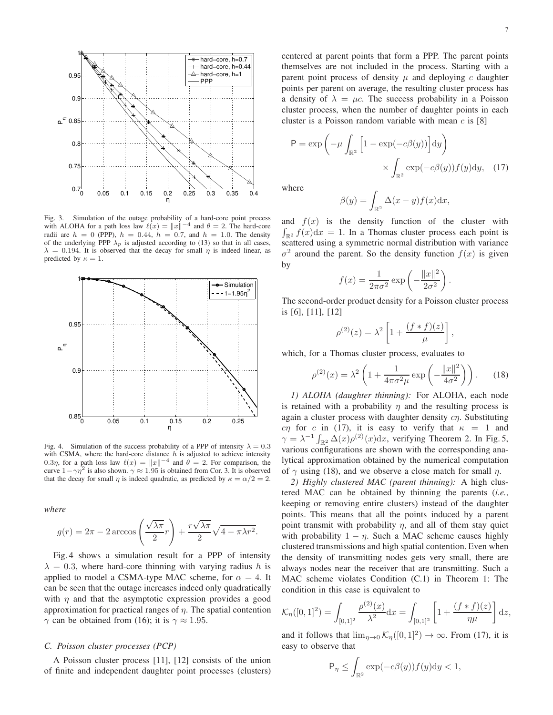

Fig. 3. Simulation of the outage probability of a hard-core point process with ALOHA for a path loss law  $\ell(x) = ||x||^{-4}$  and  $\theta = 2$ . The hard-core radii are  $h = 0$  (PPP),  $h = 0.44$ ,  $h = 0.7$ , and  $h = 1.0$ . The density of the underlying PPP  $\lambda_p$  is adjusted according to (13) so that in all cases,  $\lambda = 0.194$ . It is observed that the decay for small  $\eta$  is indeed linear, as predicted by  $\kappa = 1$ .



Fig. 4. Simulation of the success probability of a PPP of intensity  $\lambda = 0.3$ with CSMA, where the hard-core distance  $h$  is adjusted to achieve intensity 0.3η, for a path loss law  $\ell(x) = ||x||^{-4}$  and  $\theta = 2$ . For comparison, the curve  $1 - \gamma \eta^2$  is also shown.  $\gamma \approx 1.95$  is obtained from Cor. 3. It is observed that the decay for small  $\eta$  is indeed quadratic, as predicted by  $\kappa = \alpha/2 = 2$ .

*where*

$$
g(r) = 2\pi - 2 \arccos\left(\frac{\sqrt{\lambda \pi}}{2}r\right) + \frac{r\sqrt{\lambda \pi}}{2}\sqrt{4 - \pi \lambda r^2}.
$$

Fig. 4 shows a simulation result for a PPP of intensity  $\lambda = 0.3$ , where hard-core thinning with varying radius h is applied to model a CSMA-type MAC scheme, for  $\alpha = 4$ . It can be seen that the outage increases indeed only quadratically with  $\eta$  and that the asymptotic expression provides a good approximation for practical ranges of  $\eta$ . The spatial contention  $\gamma$  can be obtained from (16); it is  $\gamma \approx 1.95$ .

## *C. Poisson cluster processes (PCP)*

A Poisson cluster process [11], [12] consists of the union of finite and independent daughter point processes (clusters)

centered at parent points that form a PPP. The parent points themselves are not included in the process. Starting with a parent point process of density  $\mu$  and deploying c daughter points per parent on average, the resulting cluster process has a density of  $\lambda = \mu c$ . The success probability in a Poisson cluster process, when the number of daughter points in each cluster is a Poisson random variable with mean  $c$  is [8]

$$
P = \exp\left(-\mu \int_{\mathbb{R}^2} \left[1 - \exp(-c\beta(y))\right] dy\right) \times \int_{\mathbb{R}^2} \exp(-c\beta(y)) f(y) dy, \quad (17)
$$

where

$$
\beta(y) = \int_{\mathbb{R}^2} \Delta(x - y) f(x) \mathrm{d}x,
$$

and  $f(x)$  is the density function of the cluster with  $\int_{\mathbb{R}^2} f(x) dx = 1$ . In a Thomas cluster process each point is scattered using a symmetric normal distribution with variance  $\sigma^2$  around the parent. So the density function  $f(x)$  is given by

$$
f(x) = \frac{1}{2\pi\sigma^2} \exp\left(-\frac{\|x\|^2}{2\sigma^2}\right).
$$

The second-order product density for a Poisson cluster process is [6], [11], [12]

$$
\rho^{(2)}(z) = \lambda^2 \left[ 1 + \frac{(f * f)(z)}{\mu} \right],
$$

which, for a Thomas cluster process, evaluates to

$$
\rho^{(2)}(x) = \lambda^2 \left( 1 + \frac{1}{4\pi\sigma^2\mu} \exp\left(-\frac{\|x\|^2}{4\sigma^2}\right) \right). \tag{18}
$$

*1) ALOHA (daughter thinning):* For ALOHA, each node is retained with a probability  $\eta$  and the resulting process is again a cluster process with daughter density  $c\eta$ . Substituting cη for c in (17), it is easy to verify that  $\kappa = 1$  and  $\gamma = \lambda^{-1} \int_{\mathbb{R}^2} \Delta(x) \rho^{(2)}(x) dx$ , verifying Theorem 2. In Fig. 5, various configurations are shown with the corresponding analytical approximation obtained by the numerical computation of  $\gamma$  using (18), and we observe a close match for small  $\eta$ .

*2) Highly clustered MAC (parent thinning):* A high clustered MAC can be obtained by thinning the parents (*i.e.*, keeping or removing entire clusters) instead of the daughter points. This means that all the points induced by a parent point transmit with probability  $\eta$ , and all of them stay quiet with probability  $1 - \eta$ . Such a MAC scheme causes highly clustered transmissions and high spatial contention. Even when the density of transmitting nodes gets very small, there are always nodes near the receiver that are transmitting. Such a MAC scheme violates Condition (C.1) in Theorem 1: The condition in this case is equivalent to

$$
\mathcal{K}_{\eta}([0,1]^2) = \int_{[0,1]^2} \frac{\rho^{(2)}(x)}{\lambda^2} dx = \int_{[0,1]^2} \left[ 1 + \frac{(f * f)(z)}{\eta \mu} \right] dz,
$$

and it follows that  $\lim_{\eta \to 0} \mathcal{K}_{\eta}([0,1]^2) \to \infty$ . From (17), it is easy to observe that

$$
\mathsf{P}_{\eta} \le \int_{\mathbb{R}^2} \exp(-c\beta(y)) f(y) \mathrm{d}y < 1,
$$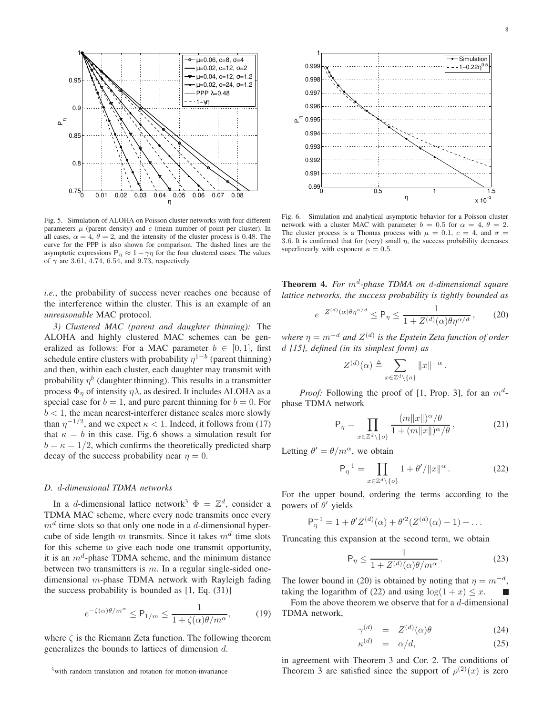

Fig. 5. Simulation of ALOHA on Poisson cluster networks with four different parameters  $\mu$  (parent density) and  $c$  (mean number of point per cluster). In all cases,  $\alpha = 4$ ,  $\theta = 2$ , and the intensity of the cluster process is 0.48. The curve for the PPP is also shown for comparison. The dashed lines are the asymptotic expressions  $P_{\eta} \approx 1 - \gamma \eta$  for the four clustered cases. The values of  $\gamma$  are 3.61, 4.74, 6.54, and 9.73, respectively.

*i.e.*, the probability of success never reaches one because of the interference within the cluster. This is an example of an *unreasonable* MAC protocol.

*3) Clustered MAC (parent and daughter thinning):* The ALOHA and highly clustered MAC schemes can be generalized as follows: For a MAC parameter  $b \in [0, 1]$ , first schedule entire clusters with probability  $\eta^{1-b}$  (parent thinning) and then, within each cluster, each daughter may transmit with probability  $\eta^b$  (daughter thinning). This results in a transmitter process  $\Phi_n$  of intensity  $\eta \lambda$ , as desired. It includes ALOHA as a special case for  $b = 1$ , and pure parent thinning for  $b = 0$ . For  $b < 1$ , the mean nearest-interferer distance scales more slowly than  $\eta^{-1/2}$ , and we expect  $\kappa < 1$ . Indeed, it follows from (17) that  $\kappa = b$  in this case. Fig. 6 shows a simulation result for  $b = \kappa = 1/2$ , which confirms the theoretically predicted sharp decay of the success probability near  $\eta = 0$ .

#### *D.* d*-dimensional TDMA networks*

In a *d*-dimensional lattice network<sup>3</sup>  $\Phi = \mathbb{Z}^d$ , consider a TDMA MAC scheme, where every node transmits once every  $m<sup>d</sup>$  time slots so that only one node in a d-dimensional hypercube of side length m transmits. Since it takes  $m<sup>d</sup>$  time slots for this scheme to give each node one transmit opportunity, it is an  $m^d$ -phase TDMA scheme, and the minimum distance between two transmitters is  $m$ . In a regular single-sided onedimensional m-phase TDMA network with Rayleigh fading the success probability is bounded as  $[1, Eq. (31)]$ 

$$
e^{-\zeta(\alpha)\theta/m^{\alpha}} \le P_{1/m} \le \frac{1}{1 + \zeta(\alpha)\theta/m^{\alpha}},\tag{19}
$$

where  $\zeta$  is the Riemann Zeta function. The following theorem generalizes the bounds to lattices of dimension d.



Fig. 6. Simulation and analytical asymptotic behavior for a Poisson cluster network with a cluster MAC with parameter  $b = 0.5$  for  $\alpha = 4, \theta = 2$ . The cluster process is a Thomas process with  $\mu = 0.1$ ,  $c = 4$ , and  $\sigma =$ 3.6. It is confirmed that for (very) small  $\eta$ , the success probability decreases superlinearly with exponent  $\kappa = 0.5$ .

**Theorem 4.** For  $m^d$ -phase TDMA on d-dimensional square *lattice networks, the success probability is tightly bounded as*

$$
e^{-Z^{(d)}(\alpha)\theta\eta^{\alpha/d}} \le \mathsf{P}_{\eta} \le \frac{1}{1 + Z^{(d)}(\alpha)\theta\eta^{\alpha/d}},\qquad(20)
$$

where  $\eta = m^{-d}$  and  $Z^{(d)}$  is the Epstein Zeta function of order d *[15], defined (in its simplest form) as*

$$
Z^{(d)}(\alpha) \triangleq \sum_{x \in \mathbb{Z}^d \setminus \{o\}} \|x\|^{-\alpha}.
$$

*Proof:* Following the proof of [1, Prop. 3], for an  $m^d$ phase TDMA network

$$
\mathsf{P}_{\eta} = \prod_{x \in \mathbb{Z}^d \setminus \{o\}} \frac{(m||x||)^{\alpha}/\theta}{1 + (m||x||)^{\alpha}/\theta},\tag{21}
$$

Letting  $\theta' = \theta/m^{\alpha}$ , we obtain

$$
\mathsf{P}_{\eta}^{-1} = \prod_{x \in \mathbb{Z}^d \setminus \{o\}} 1 + \theta' / \|x\|^{\alpha} \,. \tag{22}
$$

For the upper bound, ordering the terms according to the powers of  $\theta'$  yields

$$
P_{\eta}^{-1} = 1 + \theta' Z^{(d)}(\alpha) + \theta'^2 (Z^{(d)}(\alpha) - 1) + \dots
$$

Truncating this expansion at the second term, we obtain

$$
\mathsf{P}_{\eta} \le \frac{1}{1 + Z^{(d)}(\alpha)\theta/m^{\alpha}}.\tag{23}
$$

The lower bound in (20) is obtained by noting that  $\eta = m^{-d}$ , taking the logarithm of (22) and using  $\log(1 + x) \leq x$ . L

Fom the above theorem we observe that for a  $d$ -dimensional TDMA network,

$$
\gamma^{(d)} = Z^{(d)}(\alpha)\theta \tag{24}
$$

$$
\kappa^{(d)} = \alpha/d,\tag{25}
$$

in agreement with Theorem 3 and Cor. 2. The conditions of Theorem 3 are satisfied since the support of  $\rho^{(2)}(x)$  is zero

<sup>&</sup>lt;sup>3</sup>with random translation and rotation for motion-invariance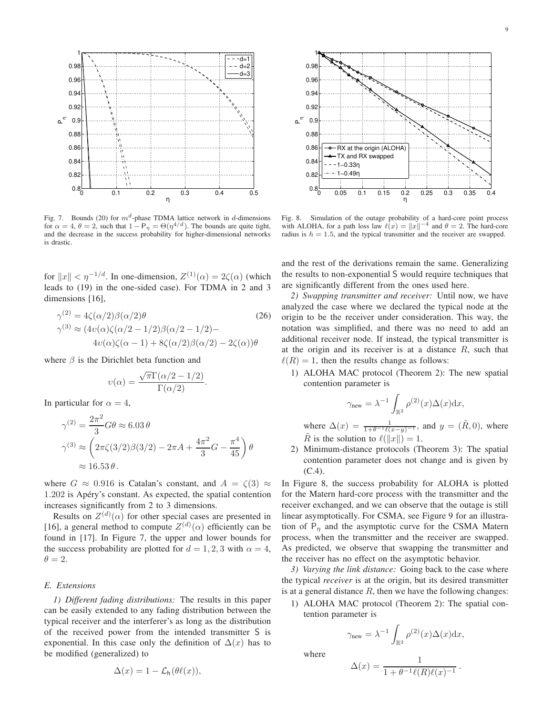

Fig. 7. Bounds (20) for  $m^d$ -phase TDMA lattice network in d-dimensions for  $\alpha = 4$ ,  $\theta = 2$ , such that  $1 - P_\eta = \Theta(\eta^{4/d})$ . The bounds are quite tight, and the decrease in the success probability for higher-dimensional networks is drastic.

for  $||x|| < \eta^{-1/d}$ . In one-dimension,  $Z^{(1)}(\alpha) = 2\zeta(\alpha)$  (which leads to (19) in the one-sided case). For TDMA in 2 and 3 dimensions [16],

$$
\gamma^{(2)} = 4\zeta(\alpha/2)\beta(\alpha/2)\theta
$$
\n
$$
\gamma^{(3)} \approx (4v(\alpha)\zeta(\alpha/2 - 1/2)\beta(\alpha/2 - 1/2)) -
$$
\n
$$
4v(\alpha)\zeta(\alpha - 1) + 8\zeta(\alpha/2)\beta(\alpha/2) - 2\zeta(\alpha))\theta
$$
\n(26)

where  $\beta$  is the Dirichlet beta function and

$$
v(\alpha) = \frac{\sqrt{\pi} \Gamma(\alpha/2 - 1/2)}{\Gamma(\alpha/2)}.
$$

In particular for  $\alpha = 4$ ,

$$
\gamma^{(2)} = \frac{2\pi^2}{3} G\theta \approx 6.03 \theta
$$
  

$$
\gamma^{(3)} \approx \left(2\pi\zeta(3/2)\beta(3/2) - 2\pi A + \frac{4\pi^2}{3}G - \frac{\pi^4}{45}\right)\theta
$$
  

$$
\approx 16.53 \theta.
$$

where  $G \approx 0.916$  is Catalan's constant, and  $A = \zeta(3) \approx$ 1.202 is Apéry's constant. As expected, the spatial contention increases significantly from 2 to 3 dimensions.

Results on  $Z^{(d)}(\alpha)$  for other special cases are presented in [16], a general method to compute  $Z^{(d)}(\alpha)$  efficiently can be found in [17]. In Figure 7, the upper and lower bounds for the success probability are plotted for  $d = 1, 2, 3$  with  $\alpha = 4$ ,  $\theta = 2.$ 

## *E. Extensions*

*1) Different fading distributions:* The results in this paper can be easily extended to any fading distribution between the typical receiver and the interferer's as long as the distribution of the received power from the intended transmitter S is exponential. In this case only the definition of  $\Delta(x)$  has to be modified (generalized) to

$$
\Delta(x) = 1 - \mathcal{L}_{h}(\theta \ell(x)),
$$



Fig. 8. Simulation of the outage probability of a hard-core point process with ALOHA, for a path loss law  $\ell(x) = ||x||^{-4}$  and  $\theta = 2$ . The hard-core radius is  $h = 1.5$ , and the typical transmitter and the receiver are swapped.

and the rest of the derivations remain the same. Generalizing the results to non-exponential S would require techniques that are significantly different from the ones used here.

*2) Swapping transmitter and receiver:* Until now, we have analyzed the case where we declared the typical node at the origin to be the receiver under consideration. This way, the notation was simplified, and there was no need to add an additional receiver node. If instead, the typical transmitter is at the origin and its receiver is at a distance  $R$ , such that  $\ell(R) = 1$ , then the results change as follows:

1) ALOHA MAC protocol (Theorem 2): The new spatial contention parameter is

$$
\gamma_{\text{new}} = \lambda^{-1} \int_{\mathbb{R}^2} \rho^{(2)}(x) \Delta(x) \mathrm{d}x,
$$

where  $\Delta(x) = \frac{1}{1 + \theta^{-1} \ell(x-y)^{-1}}$ , and  $y = (\tilde{R}, 0)$ , where  $\tilde{R}$  is the solution to  $\ell(\Vert x \Vert) = 1$ .

2) Minimum-distance protocols (Theorem 3): The spatial contention parameter does not change and is given by  $(C.4)$ .

In Figure 8, the success probability for ALOHA is plotted for the Matern hard-core process with the transmitter and the receiver exchanged, and we can observe that the outage is still linear asymptotically. For CSMA, see Figure 9 for an illustration of  $P_n$  and the asymptotic curve for the CSMA Matern process, when the transmitter and the receiver are swapped. As predicted, we observe that swapping the transmitter and the receiver has no effect on the asymptotic behavior.

*3) Varying the link distance:* Going back to the case where the typical *receiver* is at the origin, but its desired transmitter is at a general distance  $R$ , then we have the following changes:

1) ALOHA MAC protocol (Theorem 2): The spatial contention parameter is

$$
\gamma_{\text{new}} = \lambda^{-1} \int_{\mathbb{R}^2} \rho^{(2)}(x) \Delta(x) \mathrm{d} x,
$$

where

$$
\Delta(x) = \frac{1}{1 + \theta^{-1} \ell(R) \ell(x)^{-1}} \, .
$$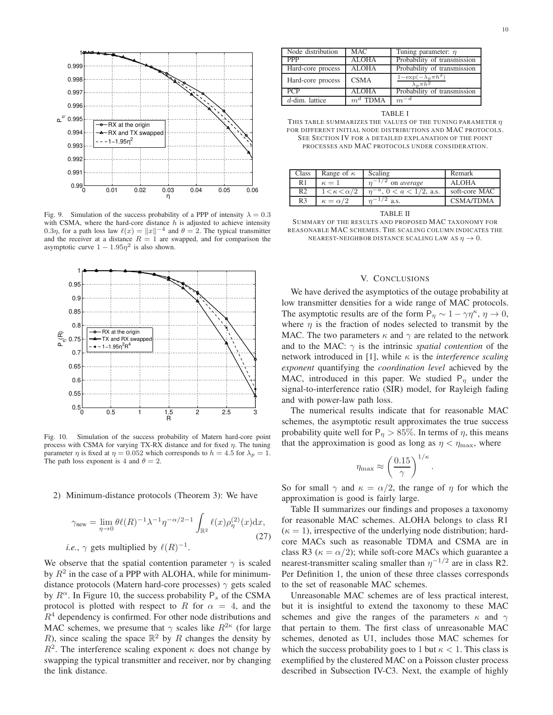

Fig. 9. Simulation of the success probability of a PPP of intensity  $\lambda = 0.3$ with CSMA, where the hard-core distance  $h$  is adjusted to achieve intensity 0.3η, for a path loss law  $\ell(x) = ||x||^{-4}$  and  $\theta = 2$ . The typical transmitter and the receiver at a distance  $R = 1$  are swapped, and for comparison the asymptotic curve  $1 - 1.95\eta^2$  is also shown.



Fig. 10. Simulation of the success probability of Matern hard-core point process with CSMA for varying TX-RX distance and for fixed  $\eta$ . The tuning parameter  $\eta$  is fixed at  $\eta = 0.052$  which corresponds to  $h = 4.5$  for  $\lambda_p = 1$ . The path loss exponent is 4 and  $\theta = 2$ .

## 2) Minimum-distance protocols (Theorem 3): We have

$$
\gamma_{\text{new}} = \lim_{\eta \to 0} \theta \ell(R)^{-1} \lambda^{-1} \eta^{-\alpha/2 - 1} \int_{\mathbb{R}^2} \ell(x) \rho_{\eta}^{(2)}(x) dx,
$$
  
*i.e.*,  $\gamma$  gets multiplied by  $\ell(R)^{-1}$ . (27)

We observe that the spatial contention parameter  $\gamma$  is scaled by  $R^2$  in the case of a PPP with ALOHA, while for minimumdistance protocols (Matern hard-core processes)  $\gamma$  gets scaled by  $R^{\alpha}$ . In Figure 10, the success probability  $P_s$  of the CSMA protocol is plotted with respect to R for  $\alpha = 4$ , and the  $R<sup>4</sup>$  dependency is confirmed. For other node distributions and MAC schemes, we presume that  $\gamma$  scales like  $R^{2\kappa}$  (for large R), since scaling the space  $\mathbb{R}^2$  by R changes the density by  $R<sup>2</sup>$ . The interference scaling exponent  $\kappa$  does not change by swapping the typical transmitter and receiver, nor by changing the link distance.

| Node distribution | <b>MAC</b>   | Tuning parameter: $\eta$                           |
|-------------------|--------------|----------------------------------------------------|
| <b>PPP</b>        | <b>ALOHA</b> | Probability of transmission                        |
| Hard-core process | <b>ALOHA</b> | Probability of transmission                        |
| Hard-core process | <b>CSMA</b>  | $1-\exp(-\lambda_p\pi h^2)$<br>$\lambda_n \pi h^2$ |
| <b>PCP</b>        | <b>ALOHA</b> | Probability of transmission                        |
| $d$ -dim. lattice | $m^d$ TDMA   | $m^{-d}$                                           |

TABLE I

THIS TABLE SUMMARIZES THE VALUES OF THE TUNING PARAMETER  $\eta$ FOR DIFFERENT INITIAL NODE DISTRIBUTIONS AND MAC PROTOCOLS. SEE SECTION IV FOR A DETAILED EXPLANATION OF THE POINT PROCESSES AND MAC PROTOCOLS UNDER CONSIDERATION.

| Class          | Range of $\kappa$           | Scaling                            | Remark        |
|----------------|-----------------------------|------------------------------------|---------------|
| R <sub>1</sub> | $\kappa=1$                  | on average                         | <b>ALOHA</b>  |
| R <sub>2</sub> | $1 \lt \kappa \lt \alpha/2$ | $\eta^{-a}$ , $0 < a < 1/2$ , a.s. | soft-core MAC |
| R <sub>3</sub> | $\kappa = \alpha/2$         | $\sim$ a.s.                        | CSMA/TDMA     |

TABLE II

SUMMARY OF THE RESULTS AND PROPOSED MAC TAXONOMY FOR REASONABLE MAC SCHEMES. THE SCALING COLUMN INDICATES THE NEAREST-NEIGHBOR DISTANCE SCALING LAW AS  $\eta \to 0$ .

## V. CONCLUSIONS

We have derived the asymptotics of the outage probability at low transmitter densities for a wide range of MAC protocols. The asymptotic results are of the form  $P_{\eta} \sim 1 - \gamma \eta^{\kappa}, \eta \to 0$ , where  $\eta$  is the fraction of nodes selected to transmit by the MAC. The two parameters  $\kappa$  and  $\gamma$  are related to the network and to the MAC:  $\gamma$  is the intrinsic *spatial contention* of the network introduced in [1], while κ is the *interference scaling exponent* quantifying the *coordination level* achieved by the MAC, introduced in this paper. We studied  $P_n$  under the signal-to-interference ratio (SIR) model, for Rayleigh fading and with power-law path loss.

The numerical results indicate that for reasonable MAC schemes, the asymptotic result approximates the true success probability quite well for  $P_n > 85\%$ . In terms of  $\eta$ , this means that the approximation is good as long as  $\eta < \eta_{\text{max}}$ , where

$$
\eta_{\text{max}} \approx \left(\frac{0.15}{\gamma}\right)^{1/\kappa}
$$

.

So for small  $\gamma$  and  $\kappa = \alpha/2$ , the range of  $\eta$  for which the approximation is good is fairly large.

Table II summarizes our findings and proposes a taxonomy for reasonable MAC schemes. ALOHA belongs to class R1  $(\kappa = 1)$ , irrespective of the underlying node distribution; hardcore MACs such as reasonable TDMA and CSMA are in class R3 ( $\kappa = \alpha/2$ ); while soft-core MACs which guarantee a nearest-transmitter scaling smaller than  $\eta^{-1/2}$  are in class R2. Per Definition 1, the union of these three classes corresponds to the set of reasonable MAC schemes.

Unreasonable MAC schemes are of less practical interest, but it is insightful to extend the taxonomy to these MAC schemes and give the ranges of the parameters  $\kappa$  and  $\gamma$ that pertain to them. The first class of unreasonable MAC schemes, denoted as U1, includes those MAC schemes for which the success probability goes to 1 but  $\kappa < 1$ . This class is exemplified by the clustered MAC on a Poisson cluster process described in Subsection IV-C3. Next, the example of highly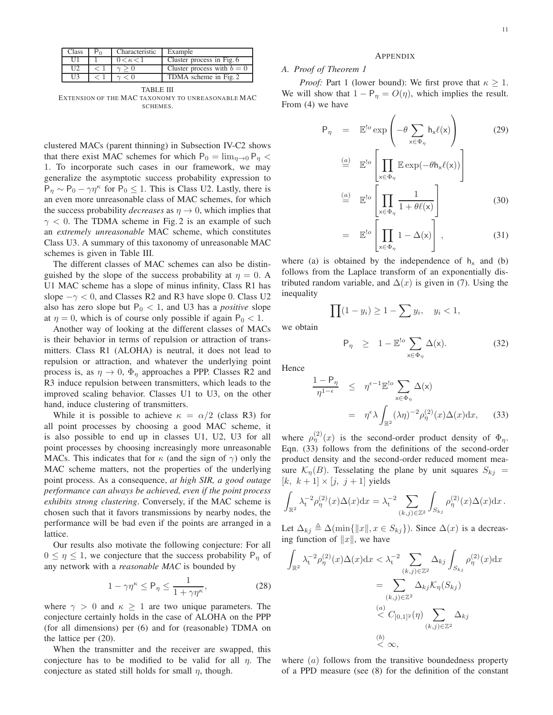| Class | Characteristic | Example                    |
|-------|----------------|----------------------------|
| II    | $0<\kappa<1$   | Cluster process in Fig. 6  |
| 112   |                | Cluster process with $b=0$ |
| 113   |                | TDMA scheme in Fig. 2      |

TABLE III EXTENSION OF THE MAC TAXONOMY TO UNREASONABLE MAC SCHEMES.

clustered MACs (parent thinning) in Subsection IV-C2 shows that there exist MAC schemes for which  $P_0 = \lim_{n\to 0} P_n <$ 1. To incorporate such cases in our framework, we may generalize the asymptotic success probability expression to  $P_{\eta} \sim P_0 - \gamma \eta^{\kappa}$  for  $P_0 \le 1$ . This is Class U2. Lastly, there is an even more unreasonable class of MAC schemes, for which the success probability *decreases* as  $\eta \to 0$ , which implies that  $\gamma$  < 0. The TDMA scheme in Fig. 2 is an example of such an *extremely unreasonable* MAC scheme, which constitutes Class U3. A summary of this taxonomy of unreasonable MAC schemes is given in Table III.

The different classes of MAC schemes can also be distinguished by the slope of the success probability at  $\eta = 0$ . A U1 MAC scheme has a slope of minus infinity, Class R1 has slope  $-\gamma < 0$ , and Classes R2 and R3 have slope 0. Class U2 also has zero slope but  $P_0 < 1$ , and U3 has a *positive* slope at  $\eta = 0$ , which is of course only possible if again  $P_0 < 1$ .

Another way of looking at the different classes of MACs is their behavior in terms of repulsion or attraction of transmitters. Class R1 (ALOHA) is neutral, it does not lead to repulsion or attraction, and whatever the underlying point process is, as  $\eta \to 0$ ,  $\Phi_{\eta}$  approaches a PPP. Classes R2 and R3 induce repulsion between transmitters, which leads to the improved scaling behavior. Classes U1 to U3, on the other hand, induce clustering of transmitters.

While it is possible to achieve  $\kappa = \alpha/2$  (class R3) for all point processes by choosing a good MAC scheme, it is also possible to end up in classes U1, U2, U3 for all point processes by choosing increasingly more unreasonable MACs. This indicates that for  $\kappa$  (and the sign of  $\gamma$ ) only the MAC scheme matters, not the properties of the underlying point process. As a consequence, *at high SIR, a good outage performance can always be achieved, even if the point process exhibits strong clustering*. Conversely, if the MAC scheme is chosen such that it favors transmissions by nearby nodes, the performance will be bad even if the points are arranged in a lattice.

Our results also motivate the following conjecture: For all  $0 \leq \eta \leq 1$ , we conjecture that the success probability  $P_{\eta}$  of any network with a *reasonable MAC* is bounded by

$$
1 - \gamma \eta^{\kappa} \le P_{\eta} \le \frac{1}{1 + \gamma \eta^{\kappa}},\tag{28}
$$

where  $\gamma > 0$  and  $\kappa \ge 1$  are two unique parameters. The conjecture certainly holds in the case of ALOHA on the PPP (for all dimensions) per (6) and for (reasonable) TDMA on the lattice per (20).

When the transmitter and the receiver are swapped, this conjecture has to be modified to be valid for all  $\eta$ . The conjecture as stated still holds for small  $\eta$ , though.

#### APPENDIX

# *A. Proof of Theorem 1*

*Proof:* Part 1 (lower bound): We first prove that  $\kappa \geq 1$ . We will show that  $1 - P_{\eta} = O(\eta)$ , which implies the result. From (4) we have

$$
P_{\eta} = \mathbb{E}^{!o} \exp\left(-\theta \sum_{x \in \Phi_{\eta}} h_x \ell(x)\right) \tag{29}
$$

$$
\stackrel{(a)}{=} \mathbb{E}^{!o} \left[ \prod_{x \in \Phi_{\eta}} \mathbb{E} \exp(-\theta h_x \ell(x)) \right]
$$
\n
$$
\stackrel{(a)}{=} \mathbb{E}^{!o} \left[ \prod_{x \in \Phi_{\eta}} \frac{1}{1 + \theta \ell(x)} \right]
$$
\n(30)

$$
= \mathbb{E}^{!o} \left[ \prod_{\mathsf{x} \in \Phi_{\eta}} 1 - \Delta(\mathsf{x}) \right], \tag{31}
$$

where (a) is obtained by the independence of  $h_x$  and (b) follows from the Laplace transform of an exponentially distributed random variable, and  $\Delta(x)$  is given in (7). Using the inequality

$$
\prod (1 - y_i) \ge 1 - \sum y_i, \quad y_i < 1,
$$

we obtain

 $\mathsf{P}_{\eta} \geq 1 - \mathbb{E}^{\mathsf{!o}} \sum$  $x \in \Phi_{\eta}$  $\Delta(x)$ . (32)

Hence

$$
\frac{1 - P_{\eta}}{\eta^{1 - \epsilon}} \leq \eta^{\epsilon - 1} \mathbb{E}^{!o} \sum_{x \in \Phi_{\eta}} \Delta(x)
$$
  
= 
$$
\eta^{\epsilon} \lambda \int_{\mathbb{R}^2} (\lambda \eta)^{-2} \rho_{\eta}^{(2)}(x) \Delta(x) dx, \qquad (33)
$$

where  $\rho_{\eta}^{(2)}(x)$  is the second-order product density of  $\Phi_{\eta}$ . Eqn. (33) follows from the definitions of the second-order product density and the second-order reduced moment measure  $\mathcal{K}_{\eta}(B)$ . Tesselating the plane by unit squares  $S_{kj}$  =  $[k, k+1] \times [j, j+1]$  yields

$$
\int_{\mathbb{R}^2} \lambda_t^{-2} \rho_{\eta}^{(2)}(x) \Delta(x) dx = \lambda_t^{-2} \sum_{(k,j) \in \mathbb{Z}^2} \int_{S_{kj}} \rho_{\eta}^{(2)}(x) \Delta(x) dx.
$$

Let  $\Delta_{kj} \triangleq \Delta(\min\{\Vert x \Vert, x \in S_{kj}\})$ . Since  $\Delta(x)$  is a decreasing function of  $||x||$ , we have

$$
\int_{\mathbb{R}^2} \lambda_t^{-2} \rho_{\eta}^{(2)}(x) \Delta(x) dx < \lambda_t^{-2} \sum_{(k,j) \in \mathbb{Z}^2} \Delta_{kj} \int_{S_{kj}} \rho_{\eta}^{(2)}(x) dx
$$
\n
$$
= \sum_{(k,j) \in \mathbb{Z}^2} \Delta_{kj} \mathcal{K}_{\eta}(S_{kj})
$$
\n
$$
\overset{(a)}{\leq} C_{[0,1]^2}(\eta) \sum_{(k,j) \in \mathbb{Z}^2} \Delta_{kj}
$$
\n
$$
\overset{(b)}{\leq} \infty,
$$

where  $(a)$  follows from the transitive boundedness property of a PPD measure (see (8) for the definition of the constant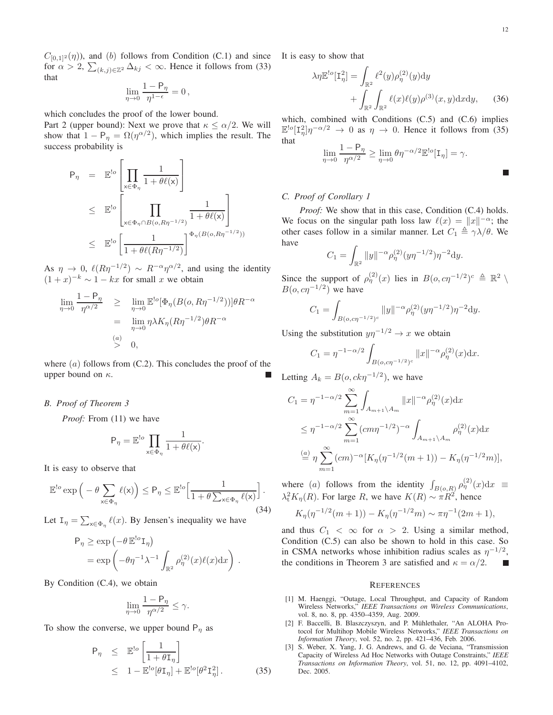$C_{[0,1]^2}(\eta)$ , and (b) follows from Condition (C.1) and since for  $\alpha > 2$ ,  $\sum_{(k,j)\in\mathbb{Z}^2} \Delta_{kj} < \infty$ . Hence it follows from (33) that

$$
\lim_{\eta\to 0}\frac{1-{\sf P}_{\eta}}{\eta^{1-\epsilon}}=0\,,
$$

which concludes the proof of the lower bound.

Part 2 (upper bound): Next we prove that  $\kappa \le \alpha/2$ . We will show that  $1 - P_\eta = \Omega(\eta^{\alpha/2})$ , which implies the result. The success probability is

$$
\begin{array}{rcl}\n\mathsf{P}_{\eta} & = & \mathbb{E}^{\mathsf{!o}} \left[ \prod_{\mathsf{x} \in \Phi_{\eta}} \frac{1}{1 + \theta \ell(\mathsf{x})} \right] \\
& \leq & \mathbb{E}^{\mathsf{!o}} \left[ \prod_{\mathsf{x} \in \Phi_{\eta} \cap B(o, R\eta^{-1/2})} \frac{1}{1 + \theta \ell(\mathsf{x})} \right] \\
& \leq & \mathbb{E}^{\mathsf{!o}} \left[ \frac{1}{1 + \theta \ell(R\eta^{-1/2})} \right]^{\Phi_{\eta}(B(o, R\eta^{-1/2}))}\n\end{array}
$$

As  $\eta \to 0$ ,  $\ell(R\eta^{-1/2}) \sim R^{-\alpha} \eta^{\alpha/2}$ , and using the identity  $(1+x)^{-k} \sim 1 - kx$  for small x we obtain

$$
\lim_{\eta \to 0} \frac{1 - P_{\eta}}{\eta^{\alpha/2}} \geq \lim_{\eta \to 0} \mathbb{E}^{\log}[\Phi_{\eta}(B(o, R\eta^{-1/2}))]\theta R^{-\alpha}
$$
\n
$$
= \lim_{\eta \to 0} \eta \lambda K_{\eta}(R\eta^{-1/2})\theta R^{-\alpha}
$$
\n
$$
\stackrel{(a)}{>} 0,
$$

where  $(a)$  follows from  $(C.2)$ . This concludes the proof of the upper bound on  $\kappa$ .

#### *B. Proof of Theorem 3*

*Proof:* From (11) we have

$$
\mathsf{P}_{\eta} = \mathbb{E}^{!o} \prod_{\mathsf{x} \in \Phi_{\eta}} \frac{1}{1 + \theta \ell(\mathsf{x})}.
$$

It is easy to observe that

$$
\mathbb{E}^{l_o} \exp \left( -\theta \sum_{x \in \Phi_{\eta}} \ell(x) \right) \le P_{\eta} \le \mathbb{E}^{l_o} \Big[ \frac{1}{1 + \theta \sum_{x \in \Phi_{\eta}} \ell(x)} \Big]. \tag{34}
$$

Let  $I_{\eta} = \sum_{x \in \Phi_{\eta}} \ell(x)$ . By Jensen's inequality we have

$$
\mathsf{P}_{\eta} \ge \exp\left(-\theta \mathbb{E}^{!o} \mathsf{I}_{\eta}\right)
$$
  
=  $\exp\left(-\theta \eta^{-1} \lambda^{-1} \int_{\mathbb{R}^2} \rho_{\eta}^{(2)}(x) \ell(x) dx\right).$ 

By Condition (C.4), we obtain

$$
\lim_{\eta\to 0}\frac{1-{\sf P}_{\eta}}{\eta^{\alpha/2}}\leq \gamma.
$$

To show the converse, we upper bound  $P_n$  as

$$
\begin{array}{rcl}\n\mathsf{P}_{\eta} & \leq & \mathbb{E}^{\text{!o}} \left[ \frac{1}{1 + \theta \mathsf{I}_{\eta}} \right] \\
& \leq & 1 - \mathbb{E}^{\text{!o}} [\theta \mathsf{I}_{\eta}] + \mathbb{E}^{\text{!o}} [\theta^2 \mathsf{I}_{\eta}^2].\n\end{array} \tag{35}
$$

It is easy to show that

$$
\lambda \eta \mathbb{E}^{!o}[\mathbf{I}_{\eta}^{2}] = \int_{\mathbb{R}^{2}} \ell^{2}(y) \rho_{\eta}^{(2)}(y) \mathrm{d}y + \int_{\mathbb{R}^{2}} \int_{\mathbb{R}^{2}} \ell(x) \ell(y) \rho^{(3)}(x, y) \mathrm{d}x \mathrm{d}y, \qquad (36)
$$

which, combined with Conditions (C.5) and (C.6) implies  $\mathbb{E}^{\lfloor 0 \rfloor} [\mathbb{I}_\eta^2] \eta^{-\alpha/2} \to 0$  as  $\eta \to 0$ . Hence it follows from (35) that

$$
\lim_{\eta \to 0} \frac{1 - \mathsf{P}_{\eta}}{\eta^{\alpha/2}} \ge \lim_{\eta \to 0} \theta \eta^{-\alpha/2} \mathbb{E}^{!o}[\mathbf{I}_{\eta}] = \gamma.
$$

#### *C. Proof of Corollary 1*

*Proof:* We show that in this case, Condition (C.4) holds. We focus on the singular path loss law  $\ell(x) = ||x||^{-\alpha}$ ; the other cases follow in a similar manner. Let  $C_1 \triangleq \gamma \lambda/\theta$ . We have

$$
C_1 = \int_{\mathbb{R}^2} \|y\|^{-\alpha} \rho_{\eta}^{(2)} (y \eta^{-1/2}) \eta^{-2} dy.
$$

Since the support of  $\rho_{\eta}^{(2)}(x)$  lies in  $B(o, c\eta^{-1/2})^c \triangleq \mathbb{R}^2 \setminus \mathbb{R}^2$  $B(o, c\eta^{-1/2})$  we have

$$
C_1 = \int_{B(o, c\eta^{-1/2})^c} \|y\|^{-\alpha} \rho_{\eta}^{(2)} (y\eta^{-1/2}) \eta^{-2} dy.
$$

Using the substitution  $y\eta^{-1/2} \to x$  we obtain

$$
C_1 = \eta^{-1-\alpha/2} \int_{B(o,c\eta^{-1/2})^c} ||x||^{-\alpha} \rho_{\eta}^{(2)}(x) dx.
$$

Letting  $A_k = B(o, ck\eta^{-1/2})$ , we have

$$
C_1 = \eta^{-1-\alpha/2} \sum_{m=1}^{\infty} \int_{A_{m+1} \setminus A_m} ||x||^{-\alpha} \rho_{\eta}^{(2)}(x) dx
$$
  
\n
$$
\leq \eta^{-1-\alpha/2} \sum_{m=1}^{\infty} (cm\eta^{-1/2})^{-\alpha} \int_{A_{m+1} \setminus A_m} \rho_{\eta}^{(2)}(x) dx
$$
  
\n
$$
\stackrel{(a)}{=} \eta \sum_{m=1}^{\infty} (cm)^{-\alpha} [K_{\eta}(\eta^{-1/2}(m+1)) - K_{\eta}(\eta^{-1/2}m)],
$$

where (a) follows from the identity  $\int_{B(o,R)} \rho_{\eta}^{(2)}(x) dx \equiv$  $\lambda_t^2 K_\eta(R)$ . For large R, we have  $K(R) \sim \pi R^2$ , hence

$$
K_{\eta}(\eta^{-1/2}(m+1)) - K_{\eta}(\eta^{-1/2}m) \sim \pi \eta^{-1}(2m+1),
$$

and thus  $C_1 < \infty$  for  $\alpha > 2$ . Using a similar method, Condition (C.5) can also be shown to hold in this case. So in CSMA networks whose inhibition radius scales as  $\eta^{-1/2}$ , the conditions in Theorem 3 are satisfied and  $\kappa = \alpha/2$ . г

#### **REFERENCES**

- [1] M. Haenggi, "Outage, Local Throughput, and Capacity of Random Wireless Networks," *IEEE Transactions on Wireless Communications*, vol. 8, no. 8, pp. 4350–4359, Aug. 2009.
- [2] F. Baccelli, B. Blaszczyszyn, and P. Mühlethaler, "An ALOHA Protocol for Multihop Mobile Wireless Networks," *IEEE Transactions on Information Theory*, vol. 52, no. 2, pp. 421–436, Feb. 2006.
- [3] S. Weber, X. Yang, J. G. Andrews, and G. de Veciana, "Transmission Capacity of Wireless Ad Hoc Networks with Outage Constraints," *IEEE Transactions on Information Theory*, vol. 51, no. 12, pp. 4091–4102, Dec. 2005.